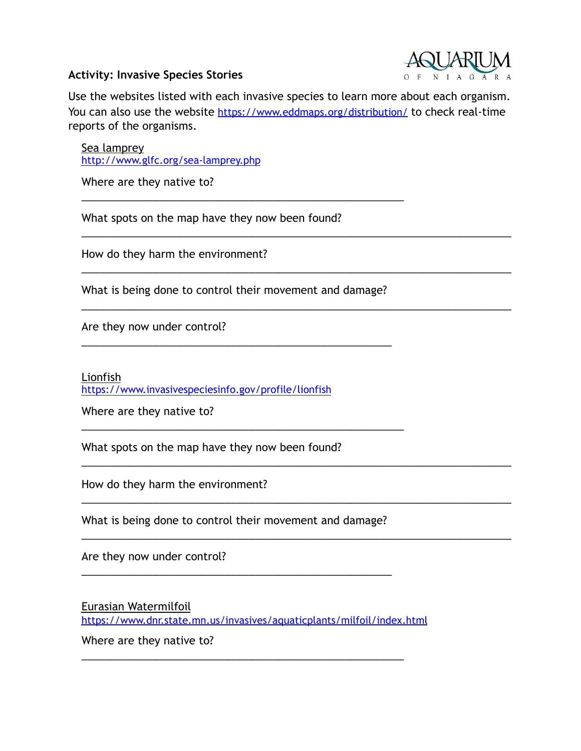## **Activity: Invasive Species Stories**



Use the websites listed with each invasive species to learn more about each organism. You can also use the website <https://www.eddmaps.org/distribution/> to check real-time reports of the organisms.

\_\_\_\_\_\_\_\_\_\_\_\_\_\_\_\_\_\_\_\_\_\_\_\_\_\_\_\_\_\_\_\_\_\_\_\_\_\_\_\_\_\_\_\_\_\_\_\_\_\_\_\_\_\_\_\_\_\_\_\_\_\_\_\_\_\_\_\_\_\_\_\_

\_\_\_\_\_\_\_\_\_\_\_\_\_\_\_\_\_\_\_\_\_\_\_\_\_\_\_\_\_\_\_\_\_\_\_\_\_\_\_\_\_\_\_\_\_\_\_\_\_\_\_\_\_\_\_\_\_\_\_\_\_\_\_\_\_\_\_\_\_\_\_\_

\_\_\_\_\_\_\_\_\_\_\_\_\_\_\_\_\_\_\_\_\_\_\_\_\_\_\_\_\_\_\_\_\_\_\_\_\_\_\_\_\_\_\_\_\_\_\_\_\_\_\_\_\_\_\_\_\_\_\_\_\_\_\_\_\_\_\_\_\_\_\_\_

\_\_\_\_\_\_\_\_\_\_\_\_\_\_\_\_\_\_\_\_\_\_\_\_\_\_\_\_\_\_\_\_\_\_\_\_\_\_\_\_\_\_\_\_\_\_\_\_\_\_\_\_\_\_\_\_\_\_\_\_\_\_\_\_\_\_\_\_\_\_\_\_

\_\_\_\_\_\_\_\_\_\_\_\_\_\_\_\_\_\_\_\_\_\_\_\_\_\_\_\_\_\_\_\_\_\_\_\_\_\_\_\_\_\_\_\_\_\_\_\_\_\_\_\_\_\_\_\_\_\_\_\_\_\_\_\_\_\_\_\_\_\_\_\_

\_\_\_\_\_\_\_\_\_\_\_\_\_\_\_\_\_\_\_\_\_\_\_\_\_\_\_\_\_\_\_\_\_\_\_\_\_\_\_\_\_\_\_\_\_\_\_\_\_\_\_\_\_\_\_\_\_\_\_\_\_\_\_\_\_\_\_\_\_\_\_\_

Sea lamprey <http://www.glfc.org/sea-lamprey.php>

Where are they native to?

What spots on the map have they now been found?

How do they harm the environment?

What is being done to control their movement and damage?

\_\_\_\_\_\_\_\_\_\_\_\_\_\_\_\_\_\_\_\_\_\_\_\_\_\_\_\_\_\_\_\_\_\_\_\_\_\_\_\_\_\_\_\_\_\_\_\_\_\_\_\_

\_\_\_\_\_\_\_\_\_\_\_\_\_\_\_\_\_\_\_\_\_\_\_\_\_\_\_\_\_\_\_\_\_\_\_\_\_\_\_\_\_\_\_\_\_\_\_\_\_\_\_\_\_\_

\_\_\_\_\_\_\_\_\_\_\_\_\_\_\_\_\_\_\_\_\_\_\_\_\_\_\_\_\_\_\_\_\_\_\_\_\_\_\_\_\_\_\_\_\_\_\_\_\_\_\_\_\_\_

Are they now under control?

Lionfish <https://www.invasivespeciesinfo.gov/profile/lionfish>

Where are they native to?

What spots on the map have they now been found?

How do they harm the environment?

What is being done to control their movement and damage?

\_\_\_\_\_\_\_\_\_\_\_\_\_\_\_\_\_\_\_\_\_\_\_\_\_\_\_\_\_\_\_\_\_\_\_\_\_\_\_\_\_\_\_\_\_\_\_\_\_\_\_\_

Are they now under control?

Eurasian Watermilfoil <https://www.dnr.state.mn.us/invasives/aquaticplants/milfoil/index.html>

\_\_\_\_\_\_\_\_\_\_\_\_\_\_\_\_\_\_\_\_\_\_\_\_\_\_\_\_\_\_\_\_\_\_\_\_\_\_\_\_\_\_\_\_\_\_\_\_\_\_\_\_\_\_

Where are they native to?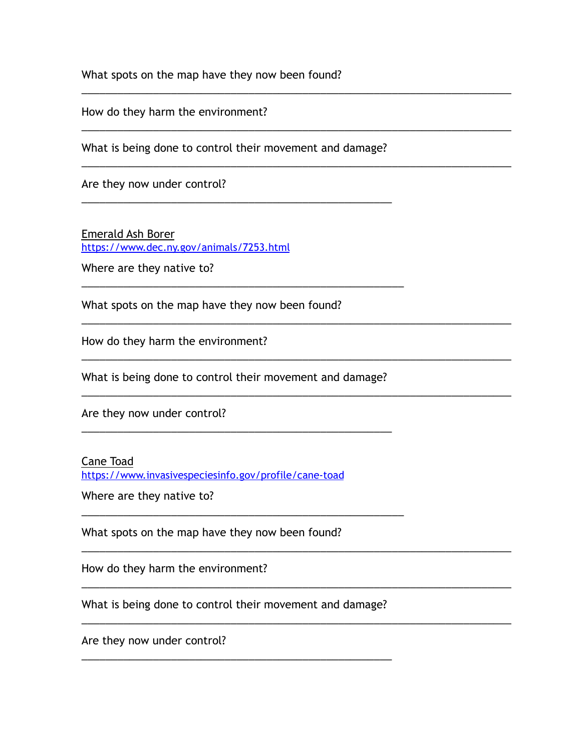What spots on the map have they now been found?

How do they harm the environment?

What is being done to control their movement and damage?

\_\_\_\_\_\_\_\_\_\_\_\_\_\_\_\_\_\_\_\_\_\_\_\_\_\_\_\_\_\_\_\_\_\_\_\_\_\_\_\_\_\_\_\_\_\_\_\_\_\_\_\_

\_\_\_\_\_\_\_\_\_\_\_\_\_\_\_\_\_\_\_\_\_\_\_\_\_\_\_\_\_\_\_\_\_\_\_\_\_\_\_\_\_\_\_\_\_\_\_\_\_\_\_\_\_\_

\_\_\_\_\_\_\_\_\_\_\_\_\_\_\_\_\_\_\_\_\_\_\_\_\_\_\_\_\_\_\_\_\_\_\_\_\_\_\_\_\_\_\_\_\_\_\_\_\_\_\_\_\_\_\_\_\_\_\_\_\_\_\_\_\_\_\_\_\_\_\_\_

\_\_\_\_\_\_\_\_\_\_\_\_\_\_\_\_\_\_\_\_\_\_\_\_\_\_\_\_\_\_\_\_\_\_\_\_\_\_\_\_\_\_\_\_\_\_\_\_\_\_\_\_\_\_\_\_\_\_\_\_\_\_\_\_\_\_\_\_\_\_\_\_

\_\_\_\_\_\_\_\_\_\_\_\_\_\_\_\_\_\_\_\_\_\_\_\_\_\_\_\_\_\_\_\_\_\_\_\_\_\_\_\_\_\_\_\_\_\_\_\_\_\_\_\_\_\_\_\_\_\_\_\_\_\_\_\_\_\_\_\_\_\_\_\_

\_\_\_\_\_\_\_\_\_\_\_\_\_\_\_\_\_\_\_\_\_\_\_\_\_\_\_\_\_\_\_\_\_\_\_\_\_\_\_\_\_\_\_\_\_\_\_\_\_\_\_\_\_\_\_\_\_\_\_\_\_\_\_\_\_\_\_\_\_\_\_\_

\_\_\_\_\_\_\_\_\_\_\_\_\_\_\_\_\_\_\_\_\_\_\_\_\_\_\_\_\_\_\_\_\_\_\_\_\_\_\_\_\_\_\_\_\_\_\_\_\_\_\_\_\_\_\_\_\_\_\_\_\_\_\_\_\_\_\_\_\_\_\_\_

\_\_\_\_\_\_\_\_\_\_\_\_\_\_\_\_\_\_\_\_\_\_\_\_\_\_\_\_\_\_\_\_\_\_\_\_\_\_\_\_\_\_\_\_\_\_\_\_\_\_\_\_\_\_\_\_\_\_\_\_\_\_\_\_\_\_\_\_\_\_\_\_

\_\_\_\_\_\_\_\_\_\_\_\_\_\_\_\_\_\_\_\_\_\_\_\_\_\_\_\_\_\_\_\_\_\_\_\_\_\_\_\_\_\_\_\_\_\_\_\_\_\_\_\_\_\_\_\_\_\_\_\_\_\_\_\_\_\_\_\_\_\_\_\_

\_\_\_\_\_\_\_\_\_\_\_\_\_\_\_\_\_\_\_\_\_\_\_\_\_\_\_\_\_\_\_\_\_\_\_\_\_\_\_\_\_\_\_\_\_\_\_\_\_\_\_\_\_\_\_\_\_\_\_\_\_\_\_\_\_\_\_\_\_\_\_\_

\_\_\_\_\_\_\_\_\_\_\_\_\_\_\_\_\_\_\_\_\_\_\_\_\_\_\_\_\_\_\_\_\_\_\_\_\_\_\_\_\_\_\_\_\_\_\_\_\_\_\_\_\_\_\_\_\_\_\_\_\_\_\_\_\_\_\_\_\_\_\_\_

Are they now under control?

Emerald Ash Borer <https://www.dec.ny.gov/animals/7253.html>

Where are they native to?

What spots on the map have they now been found?

How do they harm the environment?

What is being done to control their movement and damage?

\_\_\_\_\_\_\_\_\_\_\_\_\_\_\_\_\_\_\_\_\_\_\_\_\_\_\_\_\_\_\_\_\_\_\_\_\_\_\_\_\_\_\_\_\_\_\_\_\_\_\_\_

\_\_\_\_\_\_\_\_\_\_\_\_\_\_\_\_\_\_\_\_\_\_\_\_\_\_\_\_\_\_\_\_\_\_\_\_\_\_\_\_\_\_\_\_\_\_\_\_\_\_\_\_\_\_

Are they now under control?

## Cane Toad

<https://www.invasivespeciesinfo.gov/profile/cane-toad>

Where are they native to?

What spots on the map have they now been found?

How do they harm the environment?

What is being done to control their movement and damage?

\_\_\_\_\_\_\_\_\_\_\_\_\_\_\_\_\_\_\_\_\_\_\_\_\_\_\_\_\_\_\_\_\_\_\_\_\_\_\_\_\_\_\_\_\_\_\_\_\_\_\_\_

Are they now under control?